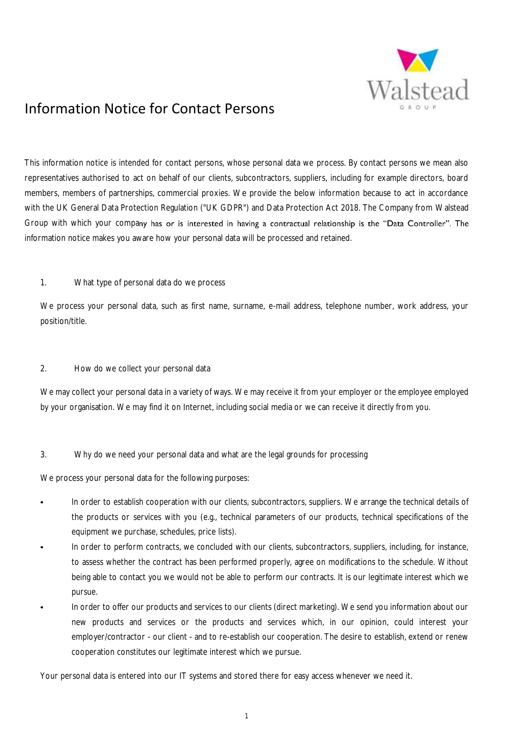

This information notice is intended for contact persons, whose personal data we process. By contact persons we mean also representatives authorised to act on behalf of our clients, subcontractors, suppliers, including for example directors, board members, members of partnerships, commercial proxies. We provide the below information because to act in accordance with the UK General Data Protection Regulation ("UK GDPR") and Data Protection Act 2018. The Company from Walstead Group with which your company has or is interested in having a contractual relationship is the "Data Controller". The information notice makes you aware how your personal data will be processed and retained.

## 1. What type of personal data do we process

We process your personal data, such as first name, surname, e-mail address, telephone number, work address, your position/title.

#### 2. How do we collect your personal data

We may collect your personal data in a variety of ways. We may receive it from your employer or the employee employed by your organisation. We may find it on Internet, including social media or we can receive it directly from you.

## 3. Why do we need your personal data and what are the legal grounds for processing

We process your personal data for the following purposes:

- In order to establish cooperation with our clients, subcontractors, suppliers. We arrange the technical details of the products or services with you (e.g., technical parameters of our products, technical specifications of the equipment we purchase, schedules, price lists).
- In order to perform contracts, we concluded with our clients, subcontractors, suppliers, including, for instance, to assess whether the contract has been performed properly, agree on modifications to the schedule. Without being able to contact you we would not be able to perform our contracts. It is our legitimate interest which we pursue.
- In order to offer our products and services to our clients (direct marketing). We send you information about our new products and services or the products and services which, in our opinion, could interest your employer/contractor - our client - and to re-establish our cooperation. The desire to establish, extend or renew cooperation constitutes our legitimate interest which we pursue.

Your personal data is entered into our IT systems and stored there for easy access whenever we need it.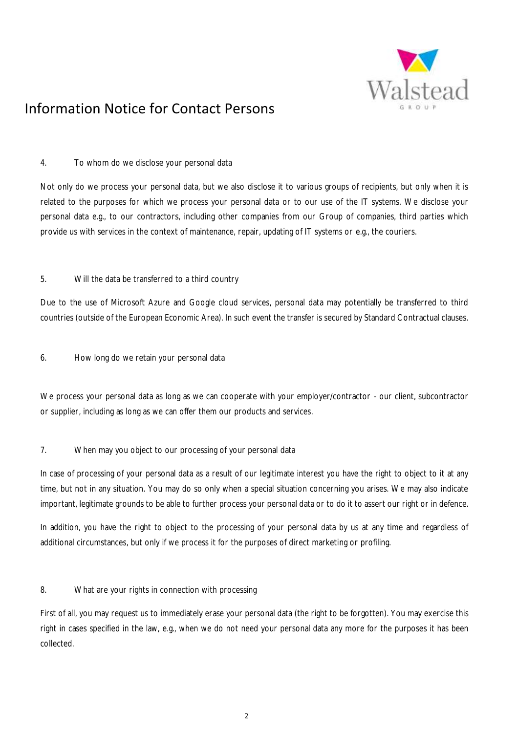

## 4. To whom do we disclose your personal data

Not only do we process your personal data, but we also disclose it to various groups of recipients, but only when it is related to the purposes for which we process your personal data or to our use of the IT systems. We disclose your personal data e.g., to our contractors, including other companies from our Group of companies, third parties which provide us with services in the context of maintenance, repair, updating of IT systems or e.g., the couriers.

## 5. Will the data be transferred to a third country

Due to the use of Microsoft Azure and Google cloud services, personal data may potentially be transferred to third countries (outside of the European Economic Area). In such event the transfer is secured by Standard Contractual clauses.

6. How long do we retain your personal data

We process your personal data as long as we can cooperate with your employer/contractor - our client, subcontractor or supplier, including as long as we can offer them our products and services.

## 7. When may you object to our processing of your personal data

In case of processing of your personal data as a result of our legitimate interest you have the right to object to it at any time, but not in any situation. You may do so only when a special situation concerning you arises. We may also indicate important, legitimate grounds to be able to further process your personal data or to do it to assert our right or in defence.

In addition, you have the right to object to the processing of your personal data by us at any time and regardless of additional circumstances, but only if we process it for the purposes of direct marketing or profiling.

## 8. What are your rights in connection with processing

First of all, you may request us to immediately erase your personal data (the right to be forgotten). You may exercise this right in cases specified in the law, e.g., when we do not need your personal data any more for the purposes it has been collected.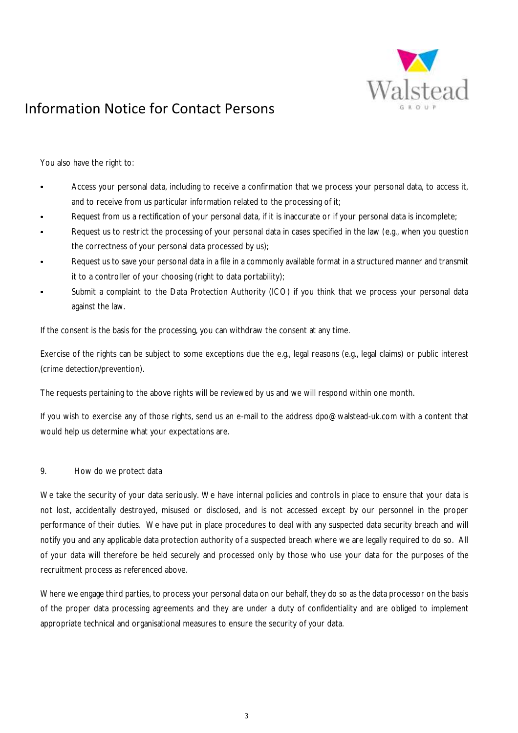

You also have the right to:

- Access your personal data, including to receive a confirmation that we process your personal data, to access it, and to receive from us particular information related to the processing of it;
- Request from us a rectification of your personal data, if it is inaccurate or if your personal data is incomplete;
- Request us to restrict the processing of your personal data in cases specified in the law (e.g., when you question the correctness of your personal data processed by us);
- Request us to save your personal data in a file in a commonly available format in a structured manner and transmit it to a controller of your choosing (right to data portability);
- Submit a complaint to the Data Protection Authority (ICO) if you think that we process your personal data against the law.

If the consent is the basis for the processing, you can withdraw the consent at any time.

Exercise of the rights can be subject to some exceptions due the e.g., legal reasons (e.g., legal claims) or public interest (crime detection/prevention).

The requests pertaining to the above rights will be reviewed by us and we will respond within one month.

If you wish to exercise any of those rights, send us an e-mail to the address dpo@walstead-uk.com with a content that would help us determine what your expectations are.

#### 9. How do we protect data

We take the security of your data seriously. We have internal policies and controls in place to ensure that your data is not lost, accidentally destroyed, misused or disclosed, and is not accessed except by our personnel in the proper performance of their duties. We have put in place procedures to deal with any suspected data security breach and will notify you and any applicable data protection authority of a suspected breach where we are legally required to do so. All of your data will therefore be held securely and processed only by those who use your data for the purposes of the recruitment process as referenced above.

Where we engage third parties, to process your personal data on our behalf, they do so as the data processor on the basis of the proper data processing agreements and they are under a duty of confidentiality and are obliged to implement appropriate technical and organisational measures to ensure the security of your data.